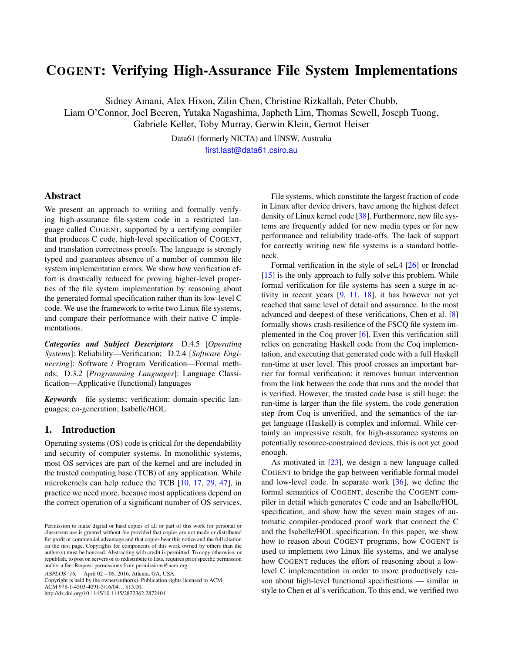# COGENT: Verifying High-Assurance File System Implementations

Sidney Amani, Alex Hixon, Zilin Chen, Christine Rizkallah, Peter Chubb, Liam O'Connor, Joel Beeren, Yutaka Nagashima, Japheth Lim, Thomas Sewell, Joseph Tuong,

Gabriele Keller, Toby Murray, Gerwin Klein, Gernot Heiser

Data61 (formerly NICTA) and UNSW, Australia [first.last@data61.csiro.au](mailto:sidney.amani@data61.csiro.au)

## Abstract

We present an approach to writing and formally verifying high-assurance file-system code in a restricted language called COGENT, supported by a certifying compiler that produces C code, high-level specification of COGENT, and translation correctness proofs. The language is strongly typed and guarantees absence of a number of common file system implementation errors. We show how verification effort is drastically reduced for proving higher-level properties of the file system implementation by reasoning about the generated formal specification rather than its low-level C code. We use the framework to write two Linux file systems, and compare their performance with their native C implementations.

*Categories and Subject Descriptors* D.4.5 [*Operating Systems*]: Reliability—Verification; D.2.4 [*Software Engineering*]: Software / Program Verification—Formal methods; D.3.2 [*Programming Languages*]: Language Classification—Applicative (functional) languages

*Keywords* file systems; verification; domain-specific languages; co-generation; Isabelle/HOL

## <span id="page-0-0"></span>1. Introduction

Operating systems (OS) code is critical for the dependability and security of computer systems. In monolithic systems, most OS services are part of the kernel and are included in the trusted computing base (TCB) of any application. While microkernels can help reduce the TCB [\[10,](#page-11-0) [17,](#page-12-0) [29,](#page-12-1) [47\]](#page-13-0), in practice we need more, because most applications depend on the correct operation of a significant number of OS services.

ASPLOS '16, April 02 – 06, 2016, Atlanta, GA, USA.

Copyright is held by the owner/author(s). Publication rights licensed to ACM. ACM 978-1-4503-4091-5/16/04. . . \$15.00.

http://dx.doi.org/10.1145/10.1145/2872362.2872404

File systems, which constitute the largest fraction of code in Linux after device drivers, have among the highest defect density of Linux kernel code [\[38\]](#page-12-2). Furthermore, new file systems are frequently added for new media types or for new performance and reliability trade-offs. The lack of support for correctly writing new file systems is a standard bottleneck.

Formal verification in the style of seL4 [\[26\]](#page-12-3) or Ironclad [\[15\]](#page-12-4) is the only approach to fully solve this problem. While formal verification for file systems has seen a surge in activity in recent years [\[9,](#page-11-1) [11,](#page-11-2) [18\]](#page-12-5), it has however not yet reached that same level of detail and assurance. In the most advanced and deepest of these verifications, Chen et al. [\[8\]](#page-11-3) formally shows crash-resilience of the FSCQ file system implemented in the Coq prover [\[6\]](#page-11-4). Even this verification still relies on generating Haskell code from the Coq implementation, and executing that generated code with a full Haskell run-time at user level. This proof crosses an important barrier for formal verification: it removes human intervention from the link between the code that runs and the model that is verified. However, the trusted code base is still huge: the run-time is larger than the file system, the code generation step from Coq is unverified, and the semantics of the target language (Haskell) is complex and informal. While certainly an impressive result, for high-assurance systems on potentially resource-constrained devices, this is not yet good enough.

As motivated in [\[23\]](#page-12-6), we design a new language called COGENT to bridge the gap between verifiable formal model and low-level code. In separate work [\[36\]](#page-12-7), we define the formal semantics of COGENT, describe the COGENT compiler in detail which generates C code and an Isabelle/HOL specification, and show how the seven main stages of automatic compiler-produced proof work that connect the C and the Isabelle/HOL specification. In this paper, we show how to reason about COGENT programs, how COGENT is used to implement two Linux file systems, and we analyse how COGENT reduces the effort of reasoning about a lowlevel C implementation in order to more productively reason about high-level functional specifications — similar in style to Chen et al's verification. To this end, we verified two

Permission to make digital or hard copies of all or part of this work for personal or classroom use is granted without fee provided that copies are not made or distributed for profit or commercial advantage and that copies bear this notice and the full citation on the first page. Copyrights for components of this work owned by others than the author(s) must be honored. Abstracting with credit is permitted. To copy otherwise, or republish, to post on servers or to redistribute to lists, requires prior specific permission and/or a fee. Request permissions from permissions@acm.org.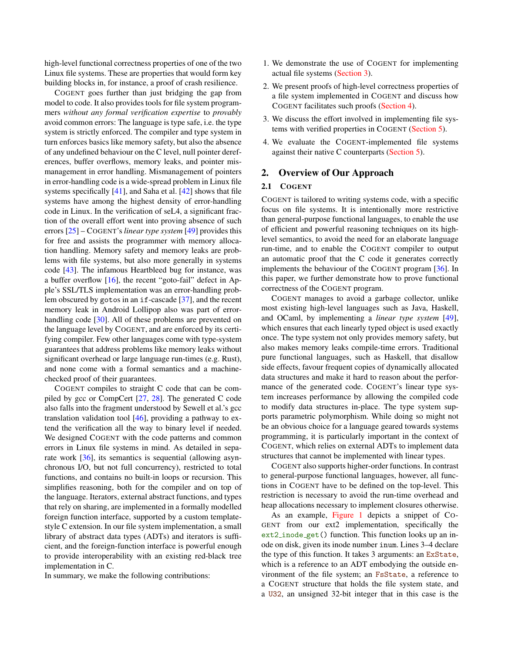high-level functional correctness properties of one of the two Linux file systems. These are properties that would form key building blocks in, for instance, a proof of crash resilience.

COGENT goes further than just bridging the gap from model to code. It also provides tools for file system programmers *without any formal verification expertise* to *provably* avoid common errors: The language is type safe, i.e. the type system is strictly enforced. The compiler and type system in turn enforces basics like memory safety, but also the absence of any undefined behaviour on the C level, null pointer dereferences, buffer overflows, memory leaks, and pointer mismanagement in error handling. Mismanagement of pointers in error-handling code is a wide-spread problem in Linux file systems specifically  $[41]$ , and Saha et al.  $[42]$  shows that file systems have among the highest density of error-handling code in Linux. In the verification of seL4, a significant fraction of the overall effort went into proving absence of such errors [\[25\]](#page-12-9) – COGENT's *linear type system* [\[49\]](#page-13-2) provides this for free and assists the programmer with memory allocation handling. Memory safety and memory leaks are problems with file systems, but also more generally in systems code [\[43\]](#page-13-3). The infamous Heartbleed bug for instance, was a buffer overflow [\[16\]](#page-12-10), the recent "goto-fail" defect in Apple's SSL/TLS implementation was an error-handling problem obscured by gotos in an if-cascade [\[37\]](#page-12-11), and the recent memory leak in Android Lollipop also was part of error-handling code [\[30\]](#page-12-12). All of these problems are prevented on the language level by COGENT, and are enforced by its certifying compiler. Few other languages come with type-system guarantees that address problems like memory leaks without significant overhead or large language run-times (e.g. Rust), and none come with a formal semantics and a machinechecked proof of their guarantees.

COGENT compiles to straight C code that can be compiled by gcc or CompCert [\[27,](#page-12-13) [28\]](#page-12-14). The generated C code also falls into the fragment understood by Sewell et al.'s gcc translation validation tool [\[46\]](#page-13-4), providing a pathway to extend the verification all the way to binary level if needed. We designed COGENT with the code patterns and common errors in Linux file systems in mind. As detailed in separate work [\[36\]](#page-12-7), its semantics is sequential (allowing asynchronous I/O, but not full concurrency), restricted to total functions, and contains no built-in loops or recursion. This simplifies reasoning, both for the compiler and on top of the language. Iterators, external abstract functions, and types that rely on sharing, are implemented in a formally modelled foreign function interface, supported by a custom templatestyle C extension. In our file system implementation, a small library of abstract data types (ADTs) and iterators is sufficient, and the foreign-function interface is powerful enough to provide interoperability with an existing red-black tree implementation in C.

In summary, we make the following contributions:

- 1. We demonstrate the use of COGENT for implementing actual file systems [\(Section 3\)](#page-3-0).
- 2. We present proofs of high-level correctness properties of a file system implemented in COGENT and discuss how COGENT facilitates such proofs [\(Section 4\)](#page-5-0).
- 3. We discuss the effort involved in implementing file systems with verified properties in COGENT [\(Section 5\)](#page-7-0).
- 4. We evaluate the COGENT-implemented file systems against their native C counterparts [\(Section 5\)](#page-7-0).

## <span id="page-1-0"></span>2. Overview of Our Approach

# 2.1 COGENT

COGENT is tailored to writing systems code, with a specific focus on file systems. It is intentionally more restrictive than general-purpose functional languages, to enable the use of efficient and powerful reasoning techniques on its highlevel semantics, to avoid the need for an elaborate language run-time, and to enable the COGENT compiler to output an automatic proof that the C code it generates correctly implements the behaviour of the COGENT program [\[36\]](#page-12-7). In this paper, we further demonstrate how to prove functional correctness of the COGENT program.

COGENT manages to avoid a garbage collector, unlike most existing high-level languages such as Java, Haskell, and OCaml, by implementing a *linear type system* [\[49\]](#page-13-2), which ensures that each linearly typed object is used exactly once. The type system not only provides memory safety, but also makes memory leaks compile-time errors. Traditional pure functional languages, such as Haskell, that disallow side effects, favour frequent copies of dynamically allocated data structures and make it hard to reason about the performance of the generated code. COGENT's linear type system increases performance by allowing the compiled code to modify data structures in-place. The type system supports parametric polymorphism. While doing so might not be an obvious choice for a language geared towards systems programming, it is particularly important in the context of COGENT, which relies on external ADTs to implement data structures that cannot be implemented with linear types.

COGENT also supports higher-order functions. In contrast to general-purpose functional languages, however, all functions in COGENT have to be defined on the top-level. This restriction is necessary to avoid the run-time overhead and heap allocations necessary to implement closures otherwise.

As an example, [Figure 1](#page-2-0) depicts a snippet of CO-GENT from our ext2 implementation, specifically the ext2\_inode\_get() function. This function looks up an inode on disk, given its inode number inum. Lines 3–4 declare the type of this function. It takes 3 arguments: an ExState, which is a reference to an ADT embodying the outside environment of the file system; an FsState, a reference to a COGENT structure that holds the file system state, and a U32, an unsigned 32-bit integer that in this case is the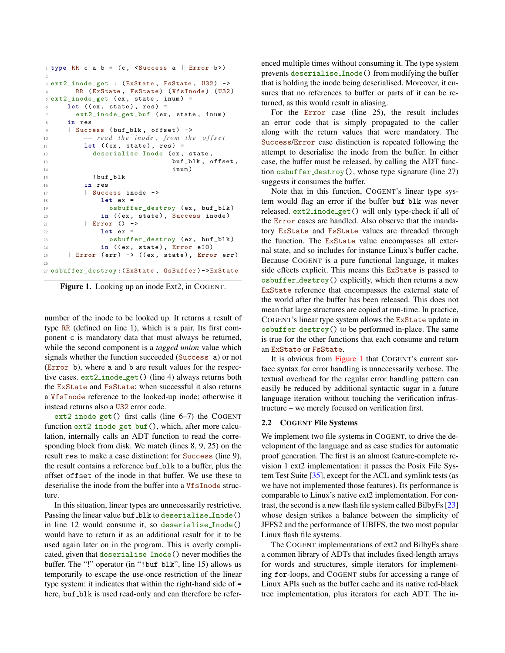```
1 type RR c a b = (c, \langle Success a | Error b \rangle)\overline{2}3 ext2_inode_get : ( ExState , FsState , U32 ) ->
4 RR (ExState, FsState) (VfsInode) (U32)
5 ext2_inode_get ( ex , state , inum ) =
\epsilon let ((ex, state), res) =
      ext2_inode_get_buf (ex, state, inum)
8 in res
9 | Success (buf_blk, offset) ->
10 -- read the inode, from the offset
11 let ((ex, state), res) =
12 deserialise_Inode (ex, state,
13 buf_blk, offset,
14 inum )
15 ! buf blk
16 in res
17 | Success inode ->
18 let ex =
19 osbuffer_destroy (ex, buf_blk)
20 in ((ex, state), Success inode)
21 | Error () ->
22 let ex =
23 osbuffer_destroy (ex, buf_blk)
<sup>24</sup> in ((ex, state), Error eIO)
25 | Error (err) \rightarrow ((ex, state), Error err)
2627 osbuffer_destroy :( ExState , OsBuffer ) -> ExState
```
<span id="page-2-0"></span>Figure 1. Looking up an inode Ext2, in COGENT.

number of the inode to be looked up. It returns a result of type RR (defined on line 1), which is a pair. Its first component c is mandatory data that must always be returned, while the second component is a *tagged union* value which signals whether the function succeeded (Success a) or not (Error b), where a and b are result values for the respective cases. ext2 inode get() (line 4) always returns both the ExState and FsState; when successful it also returns a VfsInode reference to the looked-up inode; otherwise it instead returns also a U32 error code.

ext2 inode get() first calls (line 6–7) the COGENT function ext2\_inode\_get\_buf(), which, after more calculation, internally calls an ADT function to read the corresponding block from disk. We match (lines 8, 9, 25) on the result res to make a case distinction: for Success (line 9), the result contains a reference buf\_blk to a buffer, plus the offset offset of the inode in that buffer. We use these to deserialise the inode from the buffer into a VfsInode structure.

In this situation, linear types are unnecessarily restrictive. Passing the linear value buf\_blk to deserialise\_Inode() in line 12 would consume it, so deserialise Inode() would have to return it as an additional result for it to be used again later on in the program. This is overly complicated, given that deserialise Inode() never modifies the buffer. The "!" operator (in "!buf\_blk", line 15) allows us temporarily to escape the use-once restriction of the linear type system: it indicates that within the right-hand side of = here, buf\_blk is used read-only and can therefore be referenced multiple times without consuming it. The type system prevents deserialise Inode() from modifying the buffer that is holding the inode being deserialised. Moreover, it ensures that no references to buffer or parts of it can be returned, as this would result in aliasing.

For the Error case (line 25), the result includes an error code that is simply propagated to the caller along with the return values that were mandatory. The Success/Error case distinction is repeated following the attempt to deserialise the inode from the buffer. In either case, the buffer must be released, by calling the ADT function osbuffer destroy(), whose type signature (line 27) suggests it consumes the buffer.

Note that in this function, COGENT's linear type system would flag an error if the buffer buf blk was never released. ext2 inode get() will only type-check if all of the Error cases are handled. Also observe that the mandatory ExState and FsState values are threaded through the function. The ExState value encompasses all external state, and so includes for instance Linux's buffer cache. Because COGENT is a pure functional language, it makes side effects explicit. This means this ExState is passed to osbuffer destroy() explicitly, which then returns a new ExState reference that encompasses the external state of the world after the buffer has been released. This does not mean that large structures are copied at run-time. In practice, COGENT's linear type system allows the ExState update in osbuffer destroy() to be performed in-place. The same is true for the other functions that each consume and return an ExState or FsState.

It is obvious from [Figure 1](#page-2-0) that COGENT's current surface syntax for error handling is unnecessarily verbose. The textual overhead for the regular error handling pattern can easily be reduced by additional syntactic sugar in a future language iteration without touching the verification infrastructure – we merely focused on verification first.

#### 2.2 COGENT File Systems

We implement two file systems in COGENT, to drive the development of the language and as case studies for automatic proof generation. The first is an almost feature-complete revision 1 ext2 implementation: it passes the Posix File System Test Suite [\[35\]](#page-12-15), except for the ACL and symlink tests (as we have not implemented those features). Its performance is comparable to Linux's native ext2 implementation. For contrast, the second is a new flash file system called BilbyFs [\[23\]](#page-12-6) whose design strikes a balance between the simplicity of JFFS2 and the performance of UBIFS, the two most popular Linux flash file systems.

The COGENT implementations of ext2 and BilbyFs share a common library of ADTs that includes fixed-length arrays for words and structures, simple iterators for implementing for-loops, and COGENT stubs for accessing a range of Linux APIs such as the buffer cache and its native red-black tree implementation, plus iterators for each ADT. The in-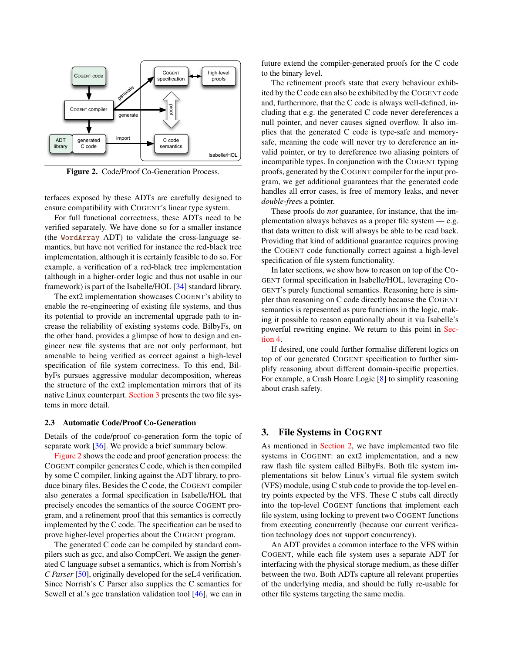

<span id="page-3-1"></span>Figure 2. Code/Proof Co-Generation Process.

terfaces exposed by these ADTs are carefully designed to ensure compatibility with COGENT's linear type system.

For full functional correctness, these ADTs need to be verified separately. We have done so for a smaller instance (the WordArray ADT) to validate the cross-language semantics, but have not verified for instance the red-black tree implementation, although it is certainly feasible to do so. For example, a verification of a red-black tree implementation (although in a higher-order logic and thus not usable in our framework) is part of the Isabelle/HOL [\[34\]](#page-12-16) standard library.

The ext2 implementation showcases COGENT's ability to enable the re-engineering of existing file systems, and thus its potential to provide an incremental upgrade path to increase the reliability of existing systems code. BilbyFs, on the other hand, provides a glimpse of how to design and engineer new file systems that are not only performant, but amenable to being verified as correct against a high-level specification of file system correctness. To this end, BilbyFs pursues aggressive modular decomposition, whereas the structure of the ext2 implementation mirrors that of its native Linux counterpart. [Section 3](#page-3-0) presents the two file systems in more detail.

#### <span id="page-3-2"></span>2.3 Automatic Code/Proof Co-Generation

Details of the code/proof co-generation form the topic of separate work [\[36\]](#page-12-7). We provide a brief summary below.

[Figure 2](#page-3-1) shows the code and proof generation process: the COGENT compiler generates C code, which is then compiled by some C compiler, linking against the ADT library, to produce binary files. Besides the C code, the COGENT compiler also generates a formal specification in Isabelle/HOL that precisely encodes the semantics of the source COGENT program, and a refinement proof that this semantics is correctly implemented by the C code. The specification can be used to prove higher-level properties about the COGENT program.

The generated C code can be compiled by standard compilers such as gcc, and also CompCert. We assign the generated C language subset a semantics, which is from Norrish's *C Parser* [\[50\]](#page-13-5), originally developed for the seL4 verification. Since Norrish's C Parser also supplies the C semantics for Sewell et al.'s gcc translation validation tool [\[46\]](#page-13-4), we can in

future extend the compiler-generated proofs for the C code to the binary level.

The refinement proofs state that every behaviour exhibited by the C code can also be exhibited by the COGENT code and, furthermore, that the C code is always well-defined, including that e.g. the generated C code never dereferences a null pointer, and never causes signed overflow. It also implies that the generated C code is type-safe and memorysafe, meaning the code will never try to dereference an invalid pointer, or try to dereference two aliasing pointers of incompatible types. In conjunction with the COGENT typing proofs, generated by the COGENT compiler for the input program, we get additional guarantees that the generated code handles all error cases, is free of memory leaks, and never *double-free*s a pointer.

These proofs do *not* guarantee, for instance, that the implementation always behaves as a proper file system — e.g. that data written to disk will always be able to be read back. Providing that kind of additional guarantee requires proving the COGENT code functionally correct against a high-level specification of file system functionality.

In later sections, we show how to reason on top of the CO-GENT formal specification in Isabelle/HOL, leveraging CO-GENT's purely functional semantics. Reasoning here is simpler than reasoning on C code directly because the COGENT semantics is represented as pure functions in the logic, making it possible to reason equationally about it via Isabelle's powerful rewriting engine. We return to this point in [Sec](#page-5-0)[tion 4.](#page-5-0)

If desired, one could further formalise different logics on top of our generated COGENT specification to further simplify reasoning about different domain-specific properties. For example, a Crash Hoare Logic [\[8\]](#page-11-3) to simplify reasoning about crash safety.

## <span id="page-3-0"></span>3. File Systems in COGENT

As mentioned in [Section 2,](#page-1-0) we have implemented two file systems in COGENT: an ext2 implementation, and a new raw flash file system called BilbyFs. Both file system implementations sit below Linux's virtual file system switch (VFS) module, using C stub code to provide the top-level entry points expected by the VFS. These C stubs call directly into the top-level COGENT functions that implement each file system, using locking to prevent two COGENT functions from executing concurrently (because our current verification technology does not support concurrency).

An ADT provides a common interface to the VFS within COGENT, while each file system uses a separate ADT for interfacing with the physical storage medium, as these differ between the two. Both ADTs capture all relevant properties of the underlying media, and should be fully re-usable for other file systems targeting the same media.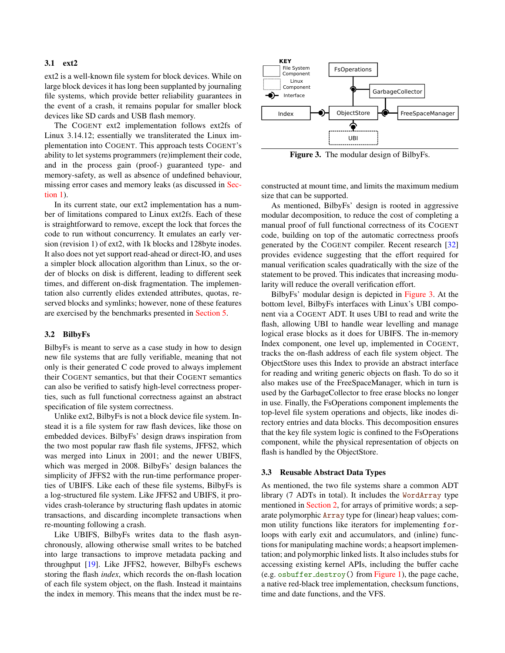#### 3.1 ext2

ext2 is a well-known file system for block devices. While on large block devices it has long been supplanted by journaling file systems, which provide better reliability guarantees in the event of a crash, it remains popular for smaller block devices like SD cards and USB flash memory.

The COGENT ext2 implementation follows ext2fs of Linux 3.14.12; essentially we transliterated the Linux implementation into COGENT. This approach tests COGENT's ability to let systems programmers (re)implement their code, and in the process gain (proof-) guaranteed type- and memory-safety, as well as absence of undefined behaviour, missing error cases and memory leaks (as discussed in [Sec](#page-0-0)[tion 1\)](#page-0-0).

In its current state, our ext2 implementation has a number of limitations compared to Linux ext2fs. Each of these is straightforward to remove, except the lock that forces the code to run without concurrency. It emulates an early version (revision 1) of ext2, with 1k blocks and 128byte inodes. It also does not yet support read-ahead or direct-IO, and uses a simpler block allocation algorithm than Linux, so the order of blocks on disk is different, leading to different seek times, and different on-disk fragmentation. The implementation also currently elides extended attributes, quotas, reserved blocks and symlinks; however, none of these features are exercised by the benchmarks presented in [Section 5.](#page-7-0)

#### <span id="page-4-1"></span>3.2 BilbyFs

BilbyFs is meant to serve as a case study in how to design new file systems that are fully verifiable, meaning that not only is their generated C code proved to always implement their COGENT semantics, but that their COGENT semantics can also be verified to satisfy high-level correctness properties, such as full functional correctness against an abstract specification of file system correctness.

Unlike ext2, BilbyFs is not a block device file system. Instead it is a file system for raw flash devices, like those on embedded devices. BilbyFs' design draws inspiration from the two most popular raw flash file systems, JFFS2, which was merged into Linux in 2001; and the newer UBIFS, which was merged in 2008. BilbyFs' design balances the simplicity of JFFS2 with the run-time performance properties of UBIFS. Like each of these file systems, BilbyFs is a log-structured file system. Like JFFS2 and UBIFS, it provides crash-tolerance by structuring flash updates in atomic transactions, and discarding incomplete transactions when re-mounting following a crash.

Like UBIFS, BilbyFs writes data to the flash asynchronously, allowing otherwise small writes to be batched into large transactions to improve metadata packing and throughput [\[19\]](#page-12-17). Like JFFS2, however, BilbyFs eschews storing the flash *index*, which records the on-flash location of each file system object, on the flash. Instead it maintains the index in memory. This means that the index must be re-



<span id="page-4-0"></span>Figure 3. The modular design of BilbyFs.

constructed at mount time, and limits the maximum medium size that can be supported.

As mentioned, BilbyFs' design is rooted in aggressive modular decomposition, to reduce the cost of completing a manual proof of full functional correctness of its COGENT code, building on top of the automatic correctness proofs generated by the COGENT compiler. Recent research [\[32\]](#page-12-18) provides evidence suggesting that the effort required for manual verification scales quadratically with the size of the statement to be proved. This indicates that increasing modularity will reduce the overall verification effort.

BilbyFs' modular design is depicted in [Figure 3.](#page-4-0) At the bottom level, BilbyFs interfaces with Linux's UBI component via a COGENT ADT. It uses UBI to read and write the flash, allowing UBI to handle wear levelling and manage logical erase blocks as it does for UBIFS. The in-memory Index component, one level up, implemented in COGENT, tracks the on-flash address of each file system object. The ObjectStore uses this Index to provide an abstract interface for reading and writing generic objects on flash. To do so it also makes use of the FreeSpaceManager, which in turn is used by the GarbageCollector to free erase blocks no longer in use. Finally, the FsOperations component implements the top-level file system operations and objects, like inodes directory entries and data blocks. This decomposition ensures that the key file system logic is confined to the FsOperations component, while the physical representation of objects on flash is handled by the ObjectStore.

#### <span id="page-4-2"></span>3.3 Reusable Abstract Data Types

As mentioned, the two file systems share a common ADT library (7 ADTs in total). It includes the WordArray type mentioned in [Section 2,](#page-1-0) for arrays of primitive words; a separate polymorphic Array type for (linear) heap values; common utility functions like iterators for implementing forloops with early exit and accumulators, and (inline) functions for manipulating machine words; a heapsort implementation; and polymorphic linked lists. It also includes stubs for accessing existing kernel APIs, including the buffer cache (e.g. osbuffer destroy() from [Figure 1\)](#page-2-0), the page cache, a native red-black tree implementation, checksum functions, time and date functions, and the VFS.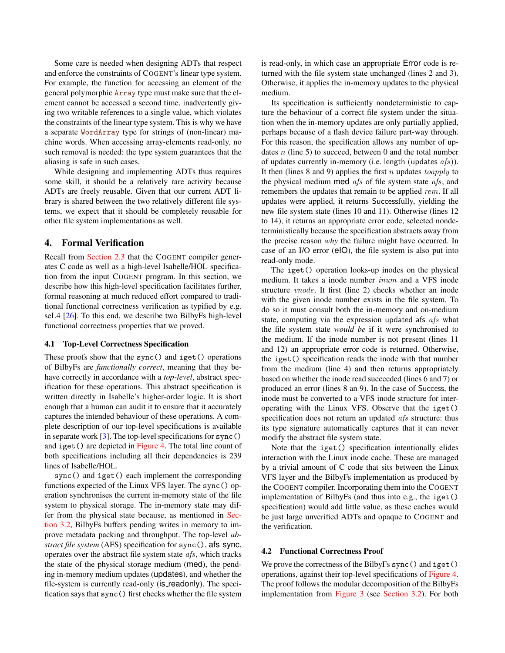Some care is needed when designing ADTs that respect and enforce the constraints of COGENT's linear type system. For example, the function for accessing an element of the general polymorphic Array type must make sure that the element cannot be accessed a second time, inadvertently giving two writable references to a single value, which violates the constraints of the linear type system. This is why we have a separate WordArray type for strings of (non-linear) machine words. When accessing array-elements read-only, no such removal is needed: the type system guarantees that the aliasing is safe in such cases.

While designing and implementing ADTs thus requires some skill, it should be a relatively rare activity because ADTs are freely reusable. Given that our current ADT library is shared between the two relatively different file systems, we expect that it should be completely reusable for other file system implementations as well.

## <span id="page-5-0"></span>4. Formal Verification

Recall from [Section 2.3](#page-3-2) that the COGENT compiler generates C code as well as a high-level Isabelle/HOL specification from the input COGENT program. In this section, we describe how this high-level specification facilitates further, formal reasoning at much reduced effort compared to traditional functional correctness verification as typified by e.g. seL4 [\[26\]](#page-12-3). To this end, we describe two BilbyFs high-level functional correctness properties that we proved.

### 4.1 Top-Level Correctness Specification

These proofs show that the sync() and iget() operations of BilbyFs are *functionally correct*, meaning that they behave correctly in accordance with a *top-level*, abstract specification for these operations. This abstract specification is written directly in Isabelle's higher-order logic. It is short enough that a human can audit it to ensure that it accurately captures the intended behaviour of these operations. A complete description of our top-level specifications is available in separate work  $[3]$ . The top-level specifications for sync() and iget() are depicted in [Figure 4.](#page-6-0) The total line count of both specifications including all their dependencies is 239 lines of Isabelle/HOL.

sync() and iget() each implement the corresponding functions expected of the Linux VFS layer. The sync() operation synchronises the current in-memory state of the file system to physical storage. The in-memory state may differ from the physical state because, as mentioned in [Sec](#page-4-1)[tion 3.2,](#page-4-1) BilbyFs buffers pending writes in memory to improve metadata packing and throughput. The top-level *abstract file system* (AFS) specification for sync(), afs\_sync, operates over the abstract file system state afs, which tracks the state of the physical storage medium (med), the pending in-memory medium updates (updates), and whether the file-system is currently read-only (is readonly). The specification says that sync() first checks whether the file system

is read-only, in which case an appropriate Error code is returned with the file system state unchanged (lines 2 and 3). Otherwise, it applies the in-memory updates to the physical medium.

Its specification is sufficiently nondeterministic to capture the behaviour of a correct file system under the situation when the in-memory updates are only partially applied, perhaps because of a flash device failure part-way through. For this reason, the specification allows any number of updates  $n$  (line 5) to succeed, between 0 and the total number of updates currently in-memory (i.e. length (updates  $afs$ )). It then (lines 8 and 9) applies the first n updates toapply to the physical medium med  $afs$  of file system state  $afs$ , and remembers the updates that remain to be applied rem. If all updates were applied, it returns Successfully, yielding the new file system state (lines 10 and 11). Otherwise (lines 12 to 14), it returns an appropriate error code, selected nondeterministically because the specification abstracts away from the precise reason *why* the failure might have occurred. In case of an I/O error (eIO), the file system is also put into read-only mode.

The iget() operation looks-up inodes on the physical medium. It takes a inode number inum and a VFS inode structure vnode. It first (line 2) checks whether an inode with the given inode number exists in the file system. To do so it must consult both the in-memory and on-medium state, computing via the expression updated afs  $afs$  what the file system state *would be* if it were synchronised to the medium. If the inode number is not present (lines 11 and 12) an appropriate error code is returned. Otherwise, the iget() specification reads the inode with that number from the medium (line 4) and then returns appropriately based on whether the inode read succeeded (lines 6 and 7) or produced an error (lines 8 an 9). In the case of Success, the inode must be converted to a VFS inode structure for interoperating with the Linux VFS. Observe that the iget() specification does not return an updated afs structure: thus its type signature automatically captures that it can never modify the abstract file system state.

Note that the iget() specification intentionally elides interaction with the Linux inode cache. These are managed by a trivial amount of C code that sits between the Linux VFS layer and the BilbyFs implementation as produced by the COGENT compiler. Incorporating them into the COGENT implementation of BilbyFs (and thus into e.g., the iget() specification) would add little value, as these caches would be just large unverified ADTs and opaque to COGENT and the verification.

#### 4.2 Functional Correctness Proof

We prove the correctness of the BilbyFs sync() and iget() operations, against their top-level specifications of [Figure 4.](#page-6-0) The proof follows the modular decomposition of the BilbyFs implementation from [Figure 3](#page-4-0) (see [Section 3.2\)](#page-4-1). For both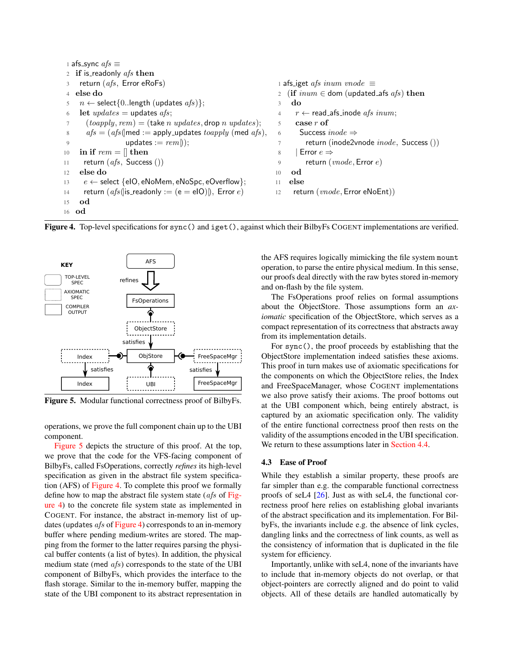```
1 afs_sync afs \equiv2 if is readonly afs then
3 return (afs, Error eRoFs)4 else do
5 n \leftarrow \text{select} \{0..\text{length} (\text{update } afs)\};6 let \textit{updates} = \text{updates} \; \textit{afs};7 (toapply, rem) = (take n updates, drop n updates);
8 afs = (afs(\text{med} := \text{apply}\_\text{update} to apply(\text{med }afs),9 updates := rem();
10 in if rem = || then
11 return (afs, Success () )12 else do
13 e \leftarrow select {eIO, eNoMem, eNoSpc, eOverflow};
14 return (afs(|is\_readonly := (e = elO)|), Error e)15 od
16 od
                                                                  1 afs_iget afs inum vnode \equiv2 (if inum \in dom (updated afs afs) then
                                                                  3 do
                                                                  4 r \leftarrow read afs inode afs inum;
                                                                  5 case r of
                                                                  6 Success inode \Rightarrowreturn (inode2vnode inode, Success ())
                                                                  8 | Error e \Rightarrow9 return (vnode, Error\ e)10 od
                                                                  11 else
                                                                  12 return (vnode, Error \, eNoEnt))
```
<span id="page-6-0"></span>Figure 4. Top-level specifications for sync() and iget(), against which their BilbyFs COGENT implementations are verified.



<span id="page-6-1"></span>Figure 5. Modular functional correctness proof of BilbyFs.

operations, we prove the full component chain up to the UBI component.

[Figure 5](#page-6-1) depicts the structure of this proof. At the top, we prove that the code for the VFS-facing component of BilbyFs, called FsOperations, correctly *refines* its high-level specification as given in the abstract file system specification (AFS) of [Figure 4.](#page-6-0) To complete this proof we formally define how to map the abstract file system state ( $afs$  of [Fig](#page-6-0)[ure 4\)](#page-6-0) to the concrete file system state as implemented in COGENT. For instance, the abstract in-memory list of updates (updates  $afs$  of [Figure 4\)](#page-6-0) corresponds to an in-memory buffer where pending medium-writes are stored. The mapping from the former to the latter requires parsing the physical buffer contents (a list of bytes). In addition, the physical medium state (med *afs*) corresponds to the state of the UBI component of BilbyFs, which provides the interface to the flash storage. Similar to the in-memory buffer, mapping the state of the UBI component to its abstract representation in the AFS requires logically mimicking the file system mount operation, to parse the entire physical medium. In this sense, our proofs deal directly with the raw bytes stored in-memory and on-flash by the file system.

The FsOperations proof relies on formal assumptions about the ObjectStore. Those assumptions form an *axiomatic* specification of the ObjectStore, which serves as a compact representation of its correctness that abstracts away from its implementation details.

For sync(), the proof proceeds by establishing that the ObjectStore implementation indeed satisfies these axioms. This proof in turn makes use of axiomatic specifications for the components on which the ObjectStore relies, the Index and FreeSpaceManager, whose COGENT implementations we also prove satisfy their axioms. The proof bottoms out at the UBI component which, being entirely abstract, is captured by an axiomatic specification only. The validity of the entire functional correctness proof then rests on the validity of the assumptions encoded in the UBI specification. We return to these assumptions later in [Section 4.4.](#page-7-1)

#### 4.3 Ease of Proof

While they establish a similar property, these proofs are far simpler than e.g. the comparable functional correctness proofs of seL4 [\[26\]](#page-12-3). Just as with seL4, the functional correctness proof here relies on establishing global invariants of the abstract specification and its implementation. For BilbyFs, the invariants include e.g. the absence of link cycles, dangling links and the correctness of link counts, as well as the consistency of information that is duplicated in the file system for efficiency.

Importantly, unlike with seL4, none of the invariants have to include that in-memory objects do not overlap, or that object-pointers are correctly aligned and do point to valid objects. All of these details are handled automatically by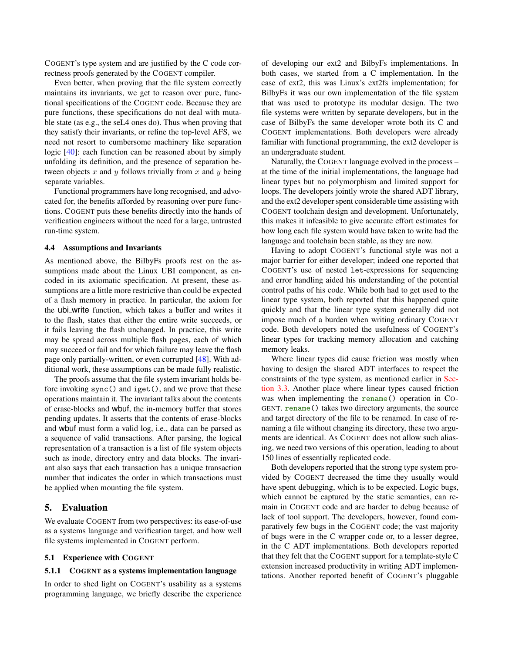COGENT's type system and are justified by the C code correctness proofs generated by the COGENT compiler.

Even better, when proving that the file system correctly maintains its invariants, we get to reason over pure, functional specifications of the COGENT code. Because they are pure functions, these specifications do not deal with mutable state (as e.g., the seL4 ones do). Thus when proving that they satisfy their invariants, or refine the top-level AFS, we need not resort to cumbersome machinery like separation logic [\[40\]](#page-12-19): each function can be reasoned about by simply unfolding its definition, and the presence of separation between objects  $x$  and  $y$  follows trivially from  $x$  and  $y$  being separate variables.

Functional programmers have long recognised, and advocated for, the benefits afforded by reasoning over pure functions. COGENT puts these benefits directly into the hands of verification engineers without the need for a large, untrusted run-time system.

#### <span id="page-7-1"></span>4.4 Assumptions and Invariants

As mentioned above, the BilbyFs proofs rest on the assumptions made about the Linux UBI component, as encoded in its axiomatic specification. At present, these assumptions are a little more restrictive than could be expected of a flash memory in practice. In particular, the axiom for the ubi write function, which takes a buffer and writes it to the flash, states that either the entire write succeeds, or it fails leaving the flash unchanged. In practice, this write may be spread across multiple flash pages, each of which may succeed or fail and for which failure may leave the flash page only partially-written, or even corrupted [\[48\]](#page-13-6). With additional work, these assumptions can be made fully realistic.

The proofs assume that the file system invariant holds before invoking sync() and iget(), and we prove that these operations maintain it. The invariant talks about the contents of erase-blocks and wbuf, the in-memory buffer that stores pending updates. It asserts that the contents of erase-blocks and wbuf must form a valid log, i.e., data can be parsed as a sequence of valid transactions. After parsing, the logical representation of a transaction is a list of file system objects such as inode, directory entry and data blocks. The invariant also says that each transaction has a unique transaction number that indicates the order in which transactions must be applied when mounting the file system.

## <span id="page-7-0"></span>5. Evaluation

We evaluate COGENT from two perspectives: its ease-of-use as a systems language and verification target, and how well file systems implemented in COGENT perform.

#### 5.1 Experience with COGENT

## 5.1.1 COGENT as a systems implementation language

In order to shed light on COGENT's usability as a systems programming language, we briefly describe the experience

of developing our ext2 and BilbyFs implementations. In both cases, we started from a C implementation. In the case of ext2, this was Linux's ext2fs implementation; for BilbyFs it was our own implementation of the file system that was used to prototype its modular design. The two file systems were written by separate developers, but in the case of BilbyFs the same developer wrote both its C and COGENT implementations. Both developers were already familiar with functional programming, the ext2 developer is an undergraduate student.

Naturally, the COGENT language evolved in the process – at the time of the initial implementations, the language had linear types but no polymorphism and limited support for loops. The developers jointly wrote the shared ADT library, and the ext2 developer spent considerable time assisting with COGENT toolchain design and development. Unfortunately, this makes it infeasible to give accurate effort estimates for how long each file system would have taken to write had the language and toolchain been stable, as they are now.

Having to adopt COGENT's functional style was not a major barrier for either developer; indeed one reported that COGENT's use of nested let-expressions for sequencing and error handling aided his understanding of the potential control paths of his code. While both had to get used to the linear type system, both reported that this happened quite quickly and that the linear type system generally did not impose much of a burden when writing ordinary COGENT code. Both developers noted the usefulness of COGENT's linear types for tracking memory allocation and catching memory leaks.

Where linear types did cause friction was mostly when having to design the shared ADT interfaces to respect the constraints of the type system, as mentioned earlier in [Sec](#page-4-2)[tion 3.3.](#page-4-2) Another place where linear types caused friction was when implementing the rename() operation in CO-GENT. rename() takes two directory arguments, the source and target directory of the file to be renamed. In case of renaming a file without changing its directory, these two arguments are identical. As COGENT does not allow such aliasing, we need two versions of this operation, leading to about 150 lines of essentially replicated code.

Both developers reported that the strong type system provided by COGENT decreased the time they usually would have spent debugging, which is to be expected. Logic bugs, which cannot be captured by the static semantics, can remain in COGENT code and are harder to debug because of lack of tool support. The developers, however, found comparatively few bugs in the COGENT code; the vast majority of bugs were in the C wrapper code or, to a lesser degree, in the C ADT implementations. Both developers reported that they felt that the COGENT support for a template-style C extension increased productivity in writing ADT implementations. Another reported benefit of COGENT's pluggable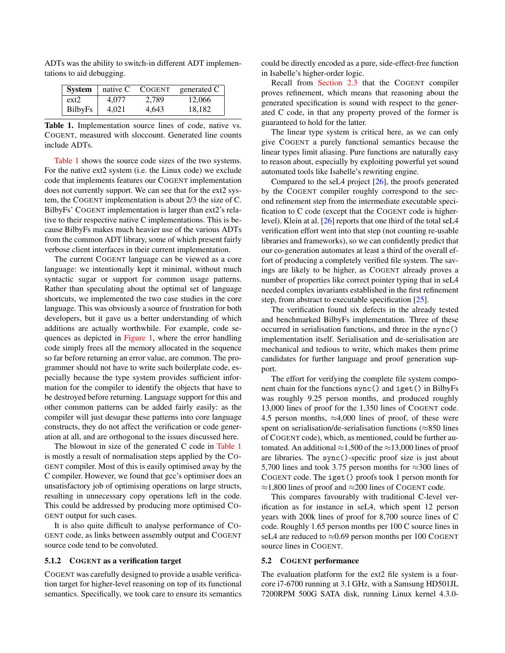| System         | $\perp$ native C | COGENT | generated C |
|----------------|------------------|--------|-------------|
| ext2           | 4.077            | 2.789  | 12,066      |
| <b>BilbyFs</b> |                  | 4.643  | 18.182      |

ADTs was the ability to switch-in different ADT implementations to aid debugging.

<span id="page-8-0"></span>Table 1. Implementation source lines of code, native vs. COGENT, measured with sloccount. Generated line counts include ADTs.

[Table 1](#page-8-0) shows the source code sizes of the two systems. For the native ext2 system (i.e. the Linux code) we exclude code that implements features our COGENT implementation does not currently support. We can see that for the ext2 system, the COGENT implementation is about 2/3 the size of C. BilbyFs' COGENT implementation is larger than ext2's relative to their respective native C implementations. This is because BilbyFs makes much heavier use of the various ADTs from the common ADT library, some of which present fairly verbose client interfaces in their current implementation.

The current COGENT language can be viewed as a core language: we intentionally kept it minimal, without much syntactic sugar or support for common usage patterns. Rather than speculating about the optimal set of language shortcuts, we implemented the two case studies in the core language. This was obviously a source of frustration for both developers, but it gave us a better understanding of which additions are actually worthwhile. For example, code sequences as depicted in [Figure 1,](#page-2-0) where the error handling code simply frees all the memory allocated in the sequence so far before returning an error value, are common. The programmer should not have to write such boilerplate code, especially because the type system provides sufficient information for the compiler to identify the objects that have to be destroyed before returning. Language support for this and other common patterns can be added fairly easily: as the compiler will just desugar these patterns into core language constructs, they do not affect the verification or code generation at all, and are orthogonal to the issues discussed here.

The blowout in size of the generated C code in [Table 1](#page-8-0) is mostly a result of normalisation steps applied by the CO-GENT compiler. Most of this is easily optimised away by the C compiler. However, we found that gcc's optimiser does an unsatisfactory job of optimising operations on large structs, resulting in unnecessary copy operations left in the code. This could be addressed by producing more optimised CO-GENT output for such cases.

It is also quite difficult to analyse performance of CO-GENT code, as links between assembly output and COGENT source code tend to be convoluted.

## 5.1.2 COGENT as a verification target

COGENT was carefully designed to provide a usable verification target for higher-level reasoning on top of its functional semantics. Specifically, we took care to ensure its semantics

could be directly encoded as a pure, side-effect-free function in Isabelle's higher-order logic.

Recall from [Section 2.3](#page-3-2) that the COGENT compiler proves refinement, which means that reasoning about the generated specification is sound with respect to the generated C code, in that any property proved of the former is guaranteed to hold for the latter.

The linear type system is critical here, as we can only give COGENT a purely functional semantics because the linear types limit aliasing. Pure functions are naturally easy to reason about, especially by exploiting powerful yet sound automated tools like Isabelle's rewriting engine.

Compared to the seL4 project [\[26\]](#page-12-3), the proofs generated by the COGENT compiler roughly correspond to the second refinement step from the intermediate executable specification to C code (except that the COGENT code is higherlevel). Klein at al. [\[26\]](#page-12-3) reports that one third of the total seL4 verification effort went into that step (not counting re-usable libraries and frameworks), so we can confidently predict that our co-generation automates at least a third of the overall effort of producing a completely verified file system. The savings are likely to be higher, as COGENT already proves a number of properties like correct pointer typing that in seL4 needed complex invariants established in the first refinement step, from abstract to executable specification [\[25\]](#page-12-9).

The verification found six defects in the already tested and benchmarked BilbyFs implementation. Three of these occurred in serialisation functions, and three in the sync() implementation itself. Serialisation and de-serialisation are mechanical and tedious to write, which makes them prime candidates for further language and proof generation support.

The effort for verifying the complete file system component chain for the functions sync() and iget() in BilbyFs was roughly 9.25 person months, and produced roughly 13,000 lines of proof for the 1,350 lines of COGENT code. 4.5 person months,  $\approx 4,000$  lines of proof, of these were spent on serialisation/de-serialisation functions ( $\approx 850$  lines of COGENT code), which, as mentioned, could be further automated. An additional  $\approx$ 1,500 of the  $\approx$ 13,000 lines of proof are libraries. The sync()-specific proof size is just about 5,700 lines and took 3.75 person months for  $\approx$ 300 lines of COGENT code. The iget() proofs took 1 person month for  $\approx$ 1,800 lines of proof and  $\approx$ 200 lines of COGENT code.

This compares favourably with traditional C-level verification as for instance in seL4, which spent 12 person years with 200k lines of proof for 8,700 source lines of C code. Roughly 1.65 person months per 100 C source lines in seL4 are reduced to  $\approx 0.69$  person months per 100 COGENT source lines in COGENT.

#### 5.2 COGENT performance

The evaluation platform for the ext2 file system is a fourcore i7-6700 running at 3.1 GHz, with a Samsung HD501JL 7200RPM 500G SATA disk, running Linux kernel 4.3.0-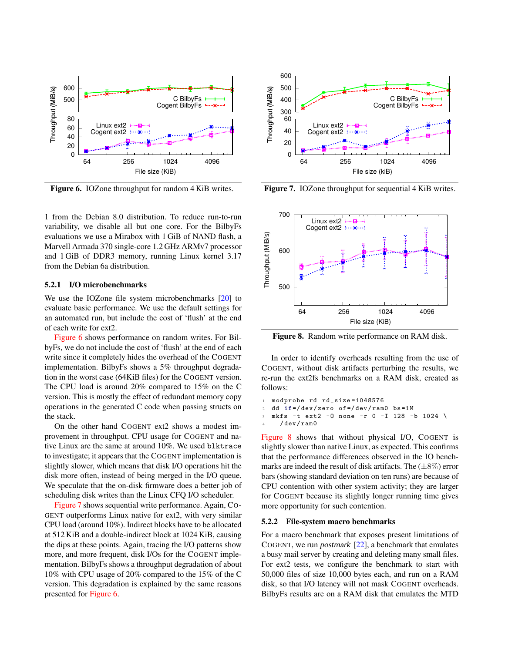

<span id="page-9-0"></span>Figure 6. IOZone throughput for random 4 KiB writes.

1 from the Debian 8.0 distribution. To reduce run-to-run variability, we disable all but one core. For the BilbyFs evaluations we use a Mirabox with 1 GiB of NAND flash, a Marvell Armada 370 single-core 1.2 GHz ARMv7 processor and 1 GiB of DDR3 memory, running Linux kernel 3.17 from the Debian 6a distribution.

#### 5.2.1 I/O microbenchmarks

We use the IOZone file system microbenchmarks [\[20\]](#page-12-20) to evaluate basic performance. We use the default settings for an automated run, but include the cost of 'flush' at the end of each write for ext2.

[Figure 6](#page-9-0) shows performance on random writes. For BilbyFs, we do not include the cost of 'flush' at the end of each write since it completely hides the overhead of the COGENT implementation. BilbyFs shows a 5% throughput degradation in the worst case (64KiB files) for the COGENT version. The CPU load is around 20% compared to 15% on the C version. This is mostly the effect of redundant memory copy operations in the generated C code when passing structs on the stack.

On the other hand COGENT ext2 shows a modest improvement in throughput. CPU usage for COGENT and native Linux are the same at around 10%. We used blktrace to investigate; it appears that the COGENT implementation is slightly slower, which means that disk I/O operations hit the disk more often, instead of being merged in the I/O queue. We speculate that the on-disk firmware does a better job of scheduling disk writes than the Linux CFQ I/O scheduler.

[Figure 7](#page-9-1) shows sequential write performance. Again, CO-GENT outperforms Linux native for ext2, with very similar CPU load (around 10%). Indirect blocks have to be allocated at 512 KiB and a double-indirect block at 1024 KiB, causing the dips at these points. Again, tracing the I/O patterns show more, and more frequent, disk I/Os for the COGENT implementation. BilbyFs shows a throughput degradation of about 10% with CPU usage of 20% compared to the 15% of the C version. This degradation is explained by the same reasons presented for [Figure 6.](#page-9-0)



<span id="page-9-1"></span>Figure 7. IOZone throughput for sequential 4 KiB writes.



<span id="page-9-2"></span>Figure 8. Random write performance on RAM disk.

In order to identify overheads resulting from the use of COGENT, without disk artifacts perturbing the results, we re-run the ext2fs benchmarks on a RAM disk, created as follows:

```
1 modprobe rd rd_size =1048576
2 dd if =/ dev / zero of =/ dev / ram0 bs =1 M
3 mkfs -t ext2 -O none -r 0 -I 128 -b 1024 \
    /dev/ram0
```
[Figure 8](#page-9-2) shows that without physical I/O, COGENT is slightly slower than native Linux, as expected. This confirms that the performance differences observed in the IO benchmarks are indeed the result of disk artifacts. The  $(\pm 8\%)$  error bars (showing standard deviation on ten runs) are because of CPU contention with other system activity; they are larger for COGENT because its slightly longer running time gives more opportunity for such contention.

#### 5.2.2 File-system macro benchmarks

For a macro benchmark that exposes present limitations of COGENT, we run postmark [\[22\]](#page-12-21), a benchmark that emulates a busy mail server by creating and deleting many small files. For ext2 tests, we configure the benchmark to start with 50,000 files of size 10,000 bytes each, and run on a RAM disk, so that I/O latency will not mask COGENT overheads. BilbyFs results are on a RAM disk that emulates the MTD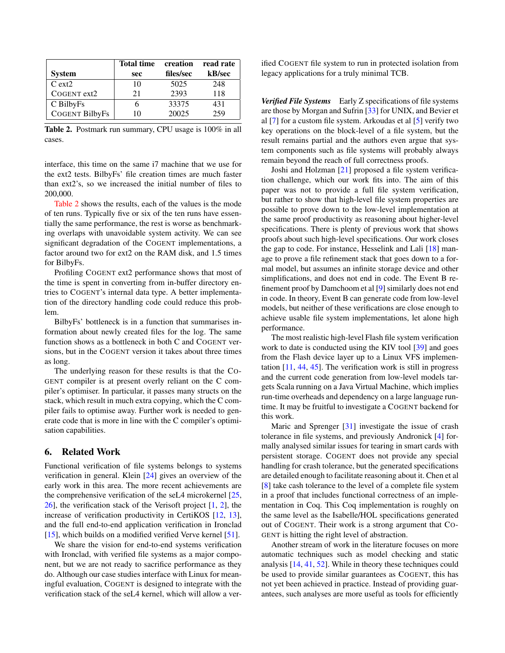|                       | <b>Total time</b> | creation  | read rate |
|-----------------------|-------------------|-----------|-----------|
| <b>System</b>         | sec               | files/sec | kB/sec    |
| $C$ ext $2$           | 10                | 5025      | 248       |
| COGENT ext2           | 21                | 2393      | 118       |
| C BilbyFs             |                   | 33375     | 431       |
| <b>COGENT BilbyFs</b> | 10                | 20025     | 259       |

<span id="page-10-0"></span>Table 2. Postmark run summary, CPU usage is 100% in all cases.

interface, this time on the same i7 machine that we use for the ext2 tests. BilbyFs' file creation times are much faster than ext2's, so we increased the initial number of files to 200,000.

[Table 2](#page-10-0) shows the results, each of the values is the mode of ten runs. Typically five or six of the ten runs have essentially the same performance, the rest is worse as benchmarking overlaps with unavoidable system activity. We can see significant degradation of the COGENT implementations, a factor around two for ext2 on the RAM disk, and 1.5 times for BilbyFs.

Profiling COGENT ext2 performance shows that most of the time is spent in converting from in-buffer directory entries to COGENT's internal data type. A better implementation of the directory handling code could reduce this problem.

BilbyFs' bottleneck is in a function that summarises information about newly created files for the log. The same function shows as a bottleneck in both C and COGENT versions, but in the COGENT version it takes about three times as long.

The underlying reason for these results is that the CO-GENT compiler is at present overly reliant on the C compiler's optimiser. In particular, it passes many structs on the stack, which result in much extra copying, which the C compiler fails to optimise away. Further work is needed to generate code that is more in line with the C compiler's optimisation capabilities.

## 6. Related Work

Functional verification of file systems belongs to systems verification in general. Klein [\[24\]](#page-12-22) gives an overview of the early work in this area. The more recent achievements are the comprehensive verification of the seL4 microkernel [\[25,](#page-12-9) [26\]](#page-12-3), the verification stack of the Verisoft project [\[1,](#page-11-6) [2\]](#page-11-7), the increase of verification productivity in CertiKOS [\[12,](#page-11-8) [13\]](#page-12-23), and the full end-to-end application verification in Ironclad [\[15\]](#page-12-4), which builds on a modified verified Verve kernel [\[51\]](#page-13-7).

We share the vision for end-to-end systems verification with Ironclad, with verified file systems as a major component, but we are not ready to sacrifice performance as they do. Although our case studies interface with Linux for meaningful evaluation, COGENT is designed to integrate with the verification stack of the seL4 kernel, which will allow a verified COGENT file system to run in protected isolation from legacy applications for a truly minimal TCB.

*Verified File Systems* Early Z specifications of file systems are those by Morgan and Sufrin [\[33\]](#page-12-24) for UNIX, and Bevier et al [\[7\]](#page-11-9) for a custom file system. Arkoudas et al [\[5\]](#page-11-10) verify two key operations on the block-level of a file system, but the result remains partial and the authors even argue that system components such as file systems will probably always remain beyond the reach of full correctness proofs.

Joshi and Holzman [\[21\]](#page-12-25) proposed a file system verification challenge, which our work fits into. The aim of this paper was not to provide a full file system verification, but rather to show that high-level file system properties are possible to prove down to the low-level implementation at the same proof productivity as reasoning about higher-level specifications. There is plenty of previous work that shows proofs about such high-level specifications. Our work closes the gap to code. For instance, Hesselink and Lali [\[18\]](#page-12-5) manage to prove a file refinement stack that goes down to a formal model, but assumes an infinite storage device and other simplifications, and does not end in code. The Event B refinement proof by Damchoom et al [\[9\]](#page-11-1) similarly does not end in code. In theory, Event B can generate code from low-level models, but neither of these verifications are close enough to achieve usable file system implementations, let alone high performance.

The most realistic high-level Flash file system verification work to date is conducted using the KIV tool [\[39\]](#page-12-26) and goes from the Flash device layer up to a Linux VFS implementation [\[11,](#page-11-2) [44,](#page-13-8) [45\]](#page-13-9). The verification work is still in progress and the current code generation from low-level models targets Scala running on a Java Virtual Machine, which implies run-time overheads and dependency on a large language runtime. It may be fruitful to investigate a COGENT backend for this work.

Maric and Sprenger [\[31\]](#page-12-27) investigate the issue of crash tolerance in file systems, and previously Andronick [\[4\]](#page-11-11) formally analysed similar issues for tearing in smart cards with persistent storage. COGENT does not provide any special handling for crash tolerance, but the generated specifications are detailed enough to facilitate reasoning about it. Chen et al [\[8\]](#page-11-3) take cash tolerance to the level of a complete file system in a proof that includes functional correctness of an implementation in Coq. This Coq implementation is roughly on the same level as the Isabelle/HOL specifications generated out of COGENT. Their work is a strong argument that CO-GENT is hitting the right level of abstraction.

Another stream of work in the literature focuses on more automatic techniques such as model checking and static analysis [\[14,](#page-12-28) [41,](#page-12-8) [52\]](#page-13-10). While in theory these techniques could be used to provide similar guarantees as COGENT, this has not yet been achieved in practice. Instead of providing guarantees, such analyses are more useful as tools for efficiently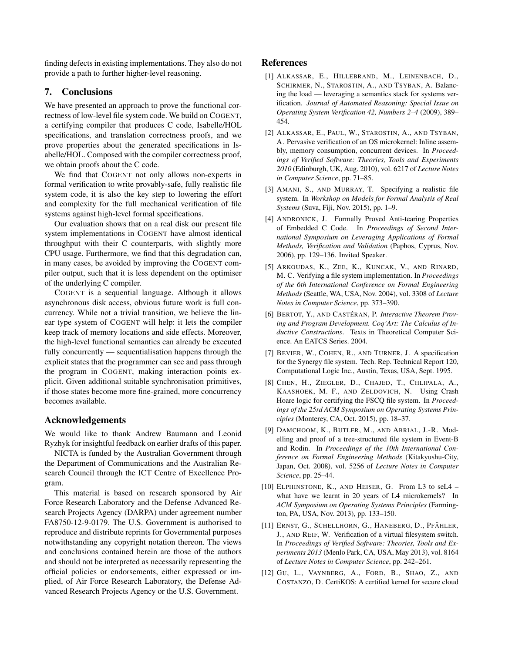finding defects in existing implementations. They also do not provide a path to further higher-level reasoning.

## 7. Conclusions

We have presented an approach to prove the functional correctness of low-level file system code. We build on COGENT, a certifying compiler that produces C code, Isabelle/HOL specifications, and translation correctness proofs, and we prove properties about the generated specifications in Isabelle/HOL. Composed with the compiler correctness proof, we obtain proofs about the C code.

We find that COGENT not only allows non-experts in formal verification to write provably-safe, fully realistic file system code, it is also the key step to lowering the effort and complexity for the full mechanical verification of file systems against high-level formal specifications.

Our evaluation shows that on a real disk our present file system implementations in COGENT have almost identical throughput with their C counterparts, with slightly more CPU usage. Furthermore, we find that this degradation can, in many cases, be avoided by improving the COGENT compiler output, such that it is less dependent on the optimiser of the underlying C compiler.

COGENT is a sequential language. Although it allows asynchronous disk access, obvious future work is full concurrency. While not a trivial transition, we believe the linear type system of COGENT will help: it lets the compiler keep track of memory locations and side effects. Moreover, the high-level functional semantics can already be executed fully concurrently — sequentialisation happens through the explicit states that the programmer can see and pass through the program in COGENT, making interaction points explicit. Given additional suitable synchronisation primitives, if those states become more fine-grained, more concurrency becomes available.

## Acknowledgements

We would like to thank Andrew Baumann and Leonid Ryzhyk for insightful feedback on earlier drafts of this paper.

NICTA is funded by the Australian Government through the Department of Communications and the Australian Research Council through the ICT Centre of Excellence Program.

This material is based on research sponsored by Air Force Research Laboratory and the Defense Advanced Research Projects Agency (DARPA) under agreement number FA8750-12-9-0179. The U.S. Government is authorised to reproduce and distribute reprints for Governmental purposes notwithstanding any copyright notation thereon. The views and conclusions contained herein are those of the authors and should not be interpreted as necessarily representing the official policies or endorsements, either expressed or implied, of Air Force Research Laboratory, the Defense Advanced Research Projects Agency or the U.S. Government.

## References

- <span id="page-11-6"></span>[1] ALKASSAR, E., HILLEBRAND, M., LEINENBACH, D., SCHIRMER, N., STAROSTIN, A., AND TSYBAN, A. Balancing the load — leveraging a semantics stack for systems verification. *Journal of Automated Reasoning: Special Issue on Operating System Verification 42, Numbers 2–4* (2009), 389– 454.
- <span id="page-11-7"></span>[2] ALKASSAR, E., PAUL, W., STAROSTIN, A., AND TSYBAN, A. Pervasive verification of an OS microkernel: Inline assembly, memory consumption, concurrent devices. In *Proceedings of Verified Software: Theories, Tools and Experiments 2010* (Edinburgh, UK, Aug. 2010), vol. 6217 of *Lecture Notes in Computer Science*, pp. 71–85.
- <span id="page-11-5"></span>[3] AMANI, S., AND MURRAY, T. Specifying a realistic file system. In *Workshop on Models for Formal Analysis of Real Systems* (Suva, Fiji, Nov. 2015), pp. 1–9.
- <span id="page-11-11"></span>[4] ANDRONICK, J. Formally Proved Anti-tearing Properties of Embedded C Code. In *Proceedings of Second International Symposium on Leveraging Applications of Formal Methods, Verification and Validation* (Paphos, Cyprus, Nov. 2006), pp. 129–136. Invited Speaker.
- <span id="page-11-10"></span>[5] ARKOUDAS, K., ZEE, K., KUNCAK, V., AND RINARD, M. C. Verifying a file system implementation. In *Proceedings of the 6th International Conference on Formal Engineering Methods* (Seattle, WA, USA, Nov. 2004), vol. 3308 of *Lecture Notes in Computer Science*, pp. 373–390.
- <span id="page-11-4"></span>[6] BERTOT, Y., AND CASTÉRAN, P. *Interactive Theorem Proving and Program Development. Coq'Art: The Calculus of Inductive Constructions*. Texts in Theoretical Computer Science. An EATCS Series. 2004.
- <span id="page-11-9"></span>[7] BEVIER, W., COHEN, R., AND TURNER, J. A specification for the Synergy file system. Tech. Rep. Technical Report 120, Computational Logic Inc., Austin, Texas, USA, Sept. 1995.
- <span id="page-11-3"></span>[8] CHEN, H., ZIEGLER, D., CHAJED, T., CHLIPALA, A., KAASHOEK, M. F., AND ZELDOVICH, N. Using Crash Hoare logic for certifying the FSCQ file system. In *Proceedings of the 25rd ACM Symposium on Operating Systems Principles* (Monterey, CA, Oct. 2015), pp. 18–37.
- <span id="page-11-1"></span>[9] DAMCHOOM, K., BUTLER, M., AND ABRIAL, J.-R. Modelling and proof of a tree-structured file system in Event-B and Rodin. In *Proceedings of the 10th International Conference on Formal Engineering Methods* (Kitakyushu-City, Japan, Oct. 2008), vol. 5256 of *Lecture Notes in Computer Science*, pp. 25–44.
- <span id="page-11-0"></span>[10] ELPHINSTONE, K., AND HEISER, G. From L3 to seL4 – what have we learnt in 20 years of L4 microkernels? In *ACM Symposium on Operating Systems Principles* (Farmington, PA, USA, Nov. 2013), pp. 133–150.
- <span id="page-11-2"></span>[11] ERNST, G., SCHELLHORN, G., HANEBERG, D., PFÄHLER, J., AND REIF, W. Verification of a virtual filesystem switch. In *Proceedings of Verified Software: Theories, Tools and Experiments 2013* (Menlo Park, CA, USA, May 2013), vol. 8164 of *Lecture Notes in Computer Science*, pp. 242–261.
- <span id="page-11-8"></span>[12] GU, L., VAYNBERG, A., FORD, B., SHAO, Z., AND COSTANZO, D. CertiKOS: A certified kernel for secure cloud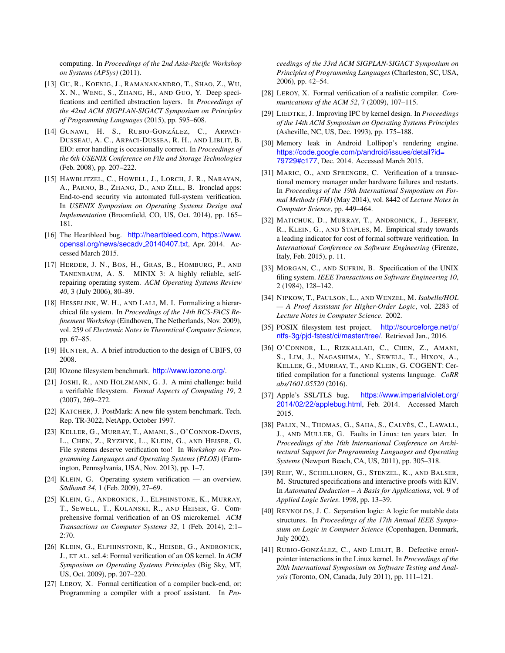computing. In *Proceedings of the 2nd Asia-Pacific Workshop on Systems (APSys)* (2011).

- <span id="page-12-23"></span>[13] GU, R., KOENIG, J., RAMANANANDRO, T., SHAO, Z., WU, X. N., WENG, S., ZHANG, H., AND GUO, Y. Deep specifications and certified abstraction layers. In *Proceedings of the 42nd ACM SIGPLAN-SIGACT Symposium on Principles of Programming Languages* (2015), pp. 595–608.
- <span id="page-12-28"></span>[14] GUNAWI, H. S., RUBIO-GONZÁLEZ, C., ARPACI-DUSSEAU, A. C., ARPACI-DUSSEA, R. H., AND LIBLIT, B. EIO: error handling is occasionally correct. In *Proceedings of the 6th USENIX Conference on File and Storage Technologies* (Feb. 2008), pp. 207–222.
- <span id="page-12-4"></span>[15] HAWBLITZEL, C., HOWELL, J., LORCH, J. R., NARAYAN, A., PARNO, B., ZHANG, D., AND ZILL, B. Ironclad apps: End-to-end security via automated full-system verification. In *USENIX Symposium on Operating Systems Design and Implementation* (Broomfield, CO, US, Oct. 2014), pp. 165– 181.
- <span id="page-12-10"></span>[16] The Heartbleed bug. <http://heartbleed.com>, [https://www.](https://www.openssl.org/news/secadv_20140407.txt) [openssl.org/news/secadv](https://www.openssl.org/news/secadv_20140407.txt) 20140407.txt, Apr. 2014. Accessed March 2015.
- <span id="page-12-0"></span>[17] HERDER, J. N., BOS, H., GRAS, B., HOMBURG, P., AND TANENBAUM, A. S. MINIX 3: A highly reliable, selfrepairing operating system. *ACM Operating Systems Review 40*, 3 (July 2006), 80–89.
- <span id="page-12-5"></span>[18] HESSELINK, W. H., AND LALI, M. I. Formalizing a hierarchical file system. In *Proceedings of the 14th BCS-FACS Refinement Workshop* (Eindhoven, The Netherlands, Nov. 2009), vol. 259 of *Electronic Notes in Theoretical Computer Science*, pp. 67–85.
- <span id="page-12-17"></span>[19] HUNTER, A. A brief introduction to the design of UBIFS, 03 2008.
- <span id="page-12-20"></span>[20] IOzone filesystem benchmark. <http://www.iozone.org/>.
- <span id="page-12-25"></span>[21] JOSHI, R., AND HOLZMANN, G. J. A mini challenge: build a verifiable filesystem. *Formal Aspects of Computing 19*, 2 (2007), 269–272.
- <span id="page-12-21"></span>[22] KATCHER, J. PostMark: A new file system benchmark. Tech. Rep. TR-3022, NetApp, October 1997.
- <span id="page-12-6"></span>[23] KELLER, G., MURRAY, T., AMANI, S., O'CONNOR-DAVIS, L., CHEN, Z., RYZHYK, L., KLEIN, G., AND HEISER, G. File systems deserve verification too! In *Workshop on Programming Languages and Operating Systems (PLOS)* (Farmington, Pennsylvania, USA, Nov. 2013), pp. 1–7.
- <span id="page-12-22"></span>[24] KLEIN, G. Operating system verification — an overview. *Sadhan ¯ a 34 ¯* , 1 (Feb. 2009), 27–69.
- <span id="page-12-9"></span>[25] KLEIN, G., ANDRONICK, J., ELPHINSTONE, K., MURRAY, T., SEWELL, T., KOLANSKI, R., AND HEISER, G. Comprehensive formal verification of an OS microkernel. *ACM Transactions on Computer Systems 32*, 1 (Feb. 2014), 2:1– 2:70.
- <span id="page-12-3"></span>[26] KLEIN, G., ELPHINSTONE, K., HEISER, G., ANDRONICK, J., ET AL. seL4: Formal verification of an OS kernel. In *ACM Symposium on Operating Systems Principles* (Big Sky, MT, US, Oct. 2009), pp. 207–220.
- <span id="page-12-13"></span>[27] LEROY, X. Formal certification of a compiler back-end, or: Programming a compiler with a proof assistant. In *Pro-*

*ceedings of the 33rd ACM SIGPLAN-SIGACT Symposium on Principles of Programming Languages* (Charleston, SC, USA, 2006), pp. 42–54.

- <span id="page-12-14"></span>[28] LEROY, X. Formal verification of a realistic compiler. *Communications of the ACM 52*, 7 (2009), 107–115.
- <span id="page-12-1"></span>[29] LIEDTKE, J. Improving IPC by kernel design. In *Proceedings of the 14th ACM Symposium on Operating Systems Principles* (Asheville, NC, US, Dec. 1993), pp. 175–188.
- <span id="page-12-12"></span>[30] Memory leak in Android Lollipop's rendering engine. [https://code.google.com/p/android/issues/detail?id=](https://code.google.com/p/android/issues/detail?id=79729#c177) [79729#c177](https://code.google.com/p/android/issues/detail?id=79729#c177), Dec. 2014. Accessed March 2015.
- <span id="page-12-27"></span>[31] MARIC, O., AND SPRENGER, C. Verification of a transactional memory manager under hardware failures and restarts. In *Proceedings of the 19th International Symposium on Formal Methods (FM)* (May 2014), vol. 8442 of *Lecture Notes in Computer Science*, pp. 449–464.
- <span id="page-12-18"></span>[32] MATICHUK, D., MURRAY, T., ANDRONICK, J., JEFFERY, R., KLEIN, G., AND STAPLES, M. Empirical study towards a leading indicator for cost of formal software verification. In *International Conference on Software Engineering* (Firenze, Italy, Feb. 2015), p. 11.
- <span id="page-12-24"></span>[33] MORGAN, C., AND SUFRIN, B. Specification of the UNIX filing system. *IEEE Transactions on Software Engineering 10*, 2 (1984), 128–142.
- <span id="page-12-16"></span>[34] NIPKOW, T., PAULSON, L., AND WENZEL, M. *Isabelle/HOL — A Proof Assistant for Higher-Order Logic*, vol. 2283 of *Lecture Notes in Computer Science*. 2002.
- <span id="page-12-15"></span>[35] POSIX filesystem test project. [http://sourceforge.net/p/]( http://sourceforge.net/p/ntfs-3g/pjd-fstest/ci/master/tree/) [ntfs-3g/pjd-fstest/ci/master/tree/]( http://sourceforge.net/p/ntfs-3g/pjd-fstest/ci/master/tree/). Retrieved Jan., 2016.
- <span id="page-12-7"></span>[36] O'CONNOR, L., RIZKALLAH, C., CHEN, Z., AMANI, S., LIM, J., NAGASHIMA, Y., SEWELL, T., HIXON, A., KELLER, G., MURRAY, T., AND KLEIN, G. COGENT: Certified compilation for a functional systems language. *CoRR abs/1601.05520* (2016).
- <span id="page-12-11"></span>[37] Apple's SSL/TLS bug. [https://www.imperialviolet.org/](https://www.imperialviolet.org/2014/02/22/applebug.html) [2014/02/22/applebug.html](https://www.imperialviolet.org/2014/02/22/applebug.html), Feb. 2014. Accessed March 2015.
- <span id="page-12-2"></span>[38] PALIX, N., THOMAS, G., SAHA, S., CALVÈS, C., LAWALL, J., AND MULLER, G. Faults in Linux: ten years later. In *Proceedings of the 16th International Conference on Architectural Support for Programming Languages and Operating Systems* (Newport Beach, CA, US, 2011), pp. 305–318.
- <span id="page-12-26"></span>[39] REIF, W., SCHELLHORN, G., STENZEL, K., AND BALSER, M. Structured specifications and interactive proofs with KIV. In *Automated Deduction – A Basis for Applications*, vol. 9 of *Applied Logic Series*. 1998, pp. 13–39.
- <span id="page-12-19"></span>[40] REYNOLDS, J. C. Separation logic: A logic for mutable data structures. In *Proceedings of the 17th Annual IEEE Symposium on Logic in Computer Science* (Copenhagen, Denmark, July 2002).
- <span id="page-12-8"></span>[41] RUBIO-GONZÁLEZ, C., AND LIBLIT, B. Defective error/pointer interactions in the Linux kernel. In *Proceedings of the 20th International Symposium on Software Testing and Analysis* (Toronto, ON, Canada, July 2011), pp. 111–121.